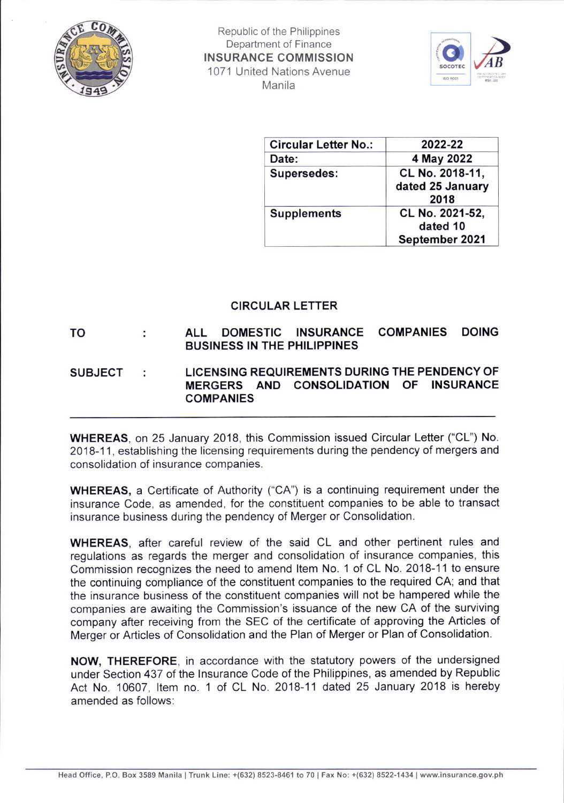

Republic of the Philippines Department of Finance INSURANCE COMMISSION '1071 United Nations Avenue Manila



| <b>Circular Letter No.:</b> | 2022-22                                       |
|-----------------------------|-----------------------------------------------|
| Date:                       | 4 May 2022                                    |
| Supersedes:                 | CL No. 2018-11,<br>dated 25 January<br>2018   |
| <b>Supplements</b>          | CL No. 2021-52,<br>dated 10<br>September 2021 |

## CIRCULAR LETTER

TO ALL DOMESTIC INSURANCE COMPANIES DOING BUSINESS IN THE PHILIPPINES

## SUBJECT : LICENSING REQUIREMENTS DURING THE PENDENCY OF<br>MERGERS AND CONSOLIDATION OF INSURANCE AND CONSOLIDATION OF INSURANCE COMPANIES

WHEREAS, on 25 January 2018, this Commission issued Circular Letter ("CL") No. 2018-11, establishing the licensing requirements during the pendency of mergers and consolidation of insurance companies.

WHEREAS, a Certificate of Authority ("CA") is a continuing requirement under the insurance Code, as amended, for the constituent companies to be able to transact insurance business during the pendency of Merger or Consolidation.

WHEREAS, after careful review of the said CL and other pertinent rules and regulations as regards the merger and consolidation of insurance companies, this Commission recognizes the need to amend ltem No. 1 of CL No. 2018-11 to ensure the continuing compliance of the constituent companies to the required CA; and that the insurance business of the constituent companies will not be hampered while the companies are awaiting the Commission's issuance of the new CA of the surviving company after receiving from the SEC of the certificate of approving the Articles of Merger or Articles of Consolidation and the Plan of Merger or Plan of Consolidation.

NOW, THEREFORE, in accordance with the statutory powers of the undersigned under Section 437 of the lnsurance Code of the Philippines, as amended by Republic Act No. 10607, Item no. 1 of CL No. 2018-11 dated 25 January 2018 is hereby amended as follows: